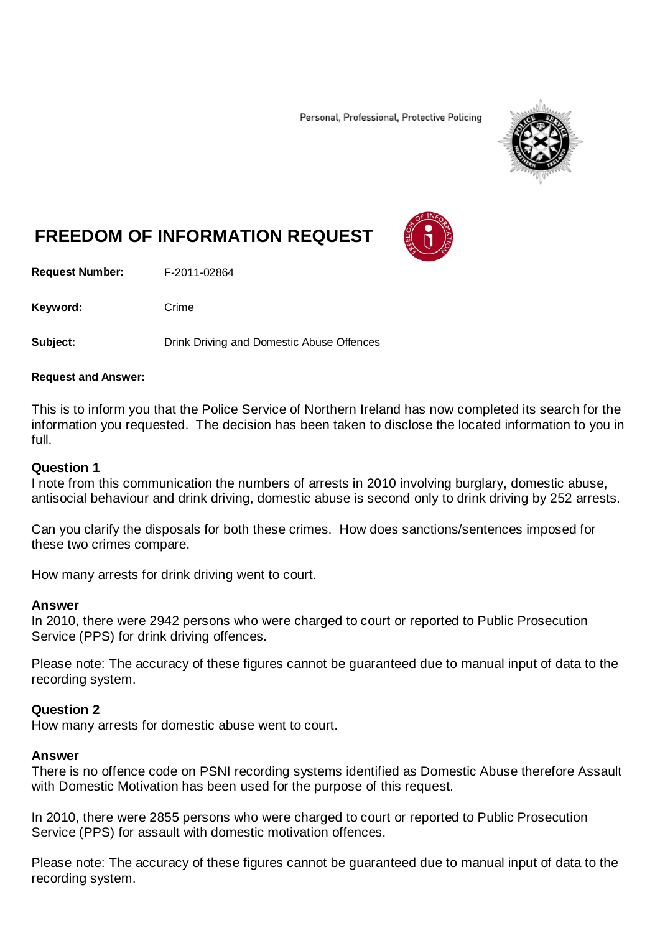Personal, Professional, Protective Policing



# **FREEDOM OF INFORMATION REQUEST**

**Request Number:** F-2011-02864

Keyword: Crime

**Subject:** Drink Driving and Domestic Abuse Offences

#### **Request and Answer:**

This is to inform you that the Police Service of Northern Ireland has now completed its search for the information you requested. The decision has been taken to disclose the located information to you in full.

#### **Question 1**

I note from this communication the numbers of arrests in 2010 involving burglary, domestic abuse, antisocial behaviour and drink driving, domestic abuse is second only to drink driving by 252 arrests.

Can you clarify the disposals for both these crimes. How does sanctions/sentences imposed for these two crimes compare.

How many arrests for drink driving went to court.

#### **Answer**

In 2010, there were 2942 persons who were charged to court or reported to Public Prosecution Service (PPS) for drink driving offences.

Please note: The accuracy of these figures cannot be guaranteed due to manual input of data to the recording system.

### **Question 2**

How many arrests for domestic abuse went to court.

### **Answer**

There is no offence code on PSNI recording systems identified as Domestic Abuse therefore Assault with Domestic Motivation has been used for the purpose of this request.

In 2010, there were 2855 persons who were charged to court or reported to Public Prosecution Service (PPS) for assault with domestic motivation offences.

Please note: The accuracy of these figures cannot be guaranteed due to manual input of data to the recording system.